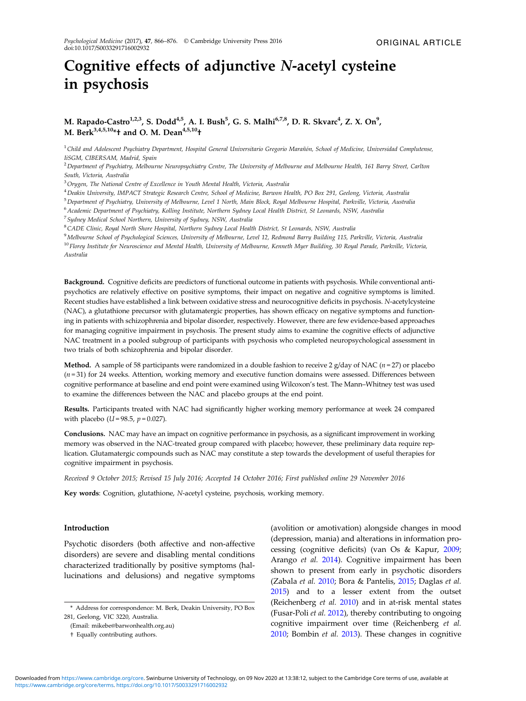# Cognitive effects of adjunctive N-acetyl cysteine in psychosis

# M. Rapado-Castro $^{1,2,3}$ , S. Dodd $^{4,5}$ , A. I. Bush $^5$ , G. S. Malhi $^{6,7,8}$ , D. R. Skvarc $^4$ , Z. X. On $^9$ , M. Berk<sup>3,4,5,10\*</sup>† and O. M. Dean<sup>4,5,10</sup>†

<sup>1</sup> Child and Adolescent Psychiatry Department, Hospital General Universitario Gregorio Marañón, School of Medicine, Universidad Complutense, IiSGM, CIBERSAM, Madrid, Spain

<sup>2</sup> Department of Psychiatry, Melbourne Neuropsychiatry Centre, The University of Melbourne and Melbourne Health, 161 Barry Street, Carlton South, Victoria, Australia

<sup>3</sup> Orygen, The National Centre of Excellence in Youth Mental Health, Victoria, Australia

<sup>4</sup>Deakin University, IMPACT Strategic Research Centre, School of Medicine, Barwon Health, PO Box 291, Geelong, Victoria, Australia

<sup>5</sup>Department of Psychiatry, University of Melbourne, Level 1 North, Main Block, Royal Melbourne Hospital, Parkville, Victoria, Australia

<sup>6</sup>Academic Department of Psychiatry, Kolling Institute, Northern Sydney Local Health District, St Leonards, NSW, Australia

<sup>7</sup>Sydney Medical School Northern, University of Sydney, NSW, Australia

<sup>8</sup>CADE Clinic, Royal North Shore Hospital, Northern Sydney Local Health District, St Leonards, NSW, Australia

<sup>9</sup>Melbourne School of Psychological Sciences, University of Melbourne, Level 12, Redmond Barry Building 115, Parkville, Victoria, Australia <sup>10</sup> Florey Institute for Neuroscience and Mental Health, University of Melbourne, Kenneth Myer Building, 30 Royal Parade, Parkville, Victoria, Australia

Background. Cognitive deficits are predictors of functional outcome in patients with psychosis. While conventional antipsychotics are relatively effective on positive symptoms, their impact on negative and cognitive symptoms is limited. Recent studies have established a link between oxidative stress and neurocognitive deficits in psychosis. N-acetylcysteine (NAC), a glutathione precursor with glutamatergic properties, has shown efficacy on negative symptoms and functioning in patients with schizophrenia and bipolar disorder, respectively. However, there are few evidence-based approaches for managing cognitive impairment in psychosis. The present study aims to examine the cognitive effects of adjunctive NAC treatment in a pooled subgroup of participants with psychosis who completed neuropsychological assessment in two trials of both schizophrenia and bipolar disorder.

**Method.** A sample of 58 participants were randomized in a double fashion to receive 2 g/day of NAC ( $n = 27$ ) or placebo  $(n=31)$  for 24 weeks. Attention, working memory and executive function domains were assessed. Differences between cognitive performance at baseline and end point were examined using Wilcoxon's test. The Mann–Whitney test was used to examine the differences between the NAC and placebo groups at the end point.

Results. Participants treated with NAC had significantly higher working memory performance at week 24 compared with placebo ( $U = 98.5$ ,  $p = 0.027$ ).

Conclusions. NAC may have an impact on cognitive performance in psychosis, as a significant improvement in working memory was observed in the NAC-treated group compared with placebo; however, these preliminary data require replication. Glutamatergic compounds such as NAC may constitute a step towards the development of useful therapies for cognitive impairment in psychosis.

Received 9 October 2015; Revised 15 July 2016; Accepted 14 October 2016; First published online 29 November 2016

Key words: Cognition, glutathione, N-acetyl cysteine, psychosis, working memory.

## Introduction

Psychotic disorders (both affective and non-affective disorders) are severe and disabling mental conditions characterized traditionally by positive symptoms (hallucinations and delusions) and negative symptoms

(avolition or amotivation) alongside changes in mood (depression, mania) and alterations in information processing (cognitive deficits) (van Os & Kapur, [2009](#page-10-0); Arango et al. [2014\)](#page-7-0). Cognitive impairment has been shown to present from early in psychotic disorders (Zabala et al. [2010;](#page-10-0) Bora & Pantelis, [2015](#page-7-0); Daglas et al. [2015\)](#page-8-0) and to a lesser extent from the outset (Reichenberg et al. [2010](#page-10-0)) and in at-risk mental states (Fusar-Poli et al. [2012](#page-8-0)), thereby contributing to ongoing cognitive impairment over time (Reichenberg et al. [2010;](#page-10-0) Bombin et al. [2013\)](#page-7-0). These changes in cognitive

<sup>\*</sup> Address for correspondence: M. Berk, Deakin University, PO Box 281, Geelong, VIC 3220, Australia.

<sup>(</sup>Email: mikebe@barwonhealth.org.au)

<sup>†</sup> Equally contributing authors.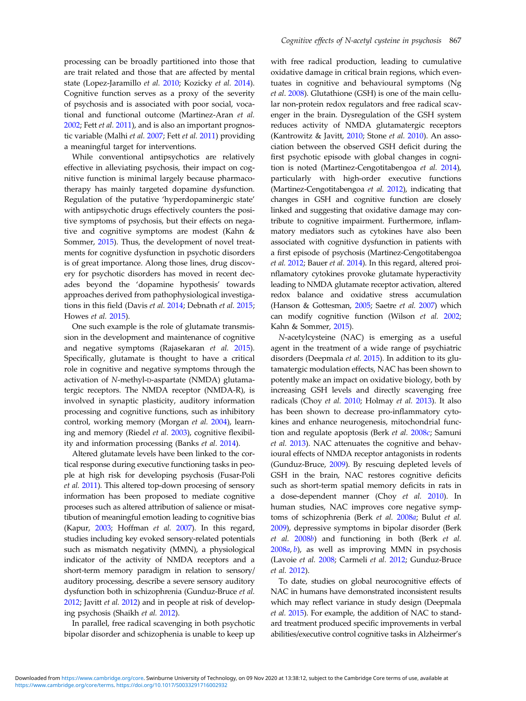processing can be broadly partitioned into those that are trait related and those that are affected by mental state (Lopez-Jaramillo et al. [2010;](#page-9-0) Kozicky et al. [2014](#page-9-0)). Cognitive function serves as a proxy of the severity of psychosis and is associated with poor social, vocational and functional outcome (Martinez-Aran et al. [2002;](#page-9-0) Fett et al. [2011](#page-8-0)), and is also an important prognostic variable (Malhi et al. [2007;](#page-9-0) Fett et al. [2011](#page-8-0)) providing a meaningful target for interventions.

While conventional antipsychotics are relatively effective in alleviating psychosis, their impact on cognitive function is minimal largely because pharmacotherapy has mainly targeted dopamine dysfunction. Regulation of the putative 'hyperdopaminergic state' with antipsychotic drugs effectively counters the positive symptoms of psychosis, but their effects on negative and cognitive symptoms are modest (Kahn & Sommer, [2015\)](#page-9-0). Thus, the development of novel treatments for cognitive dysfunction in psychotic disorders is of great importance. Along those lines, drug discovery for psychotic disorders has moved in recent decades beyond the 'dopamine hypothesis' towards approaches derived from pathophysiological investigations in this field (Davis et al. [2014](#page-8-0); Debnath et al. [2015](#page-8-0); Howes et al. [2015](#page-9-0)).

One such example is the role of glutamate transmission in the development and maintenance of cognitive and negative symptoms (Rajasekaran et al. [2015](#page-10-0)). Specifically, glutamate is thought to have a critical role in cognitive and negative symptoms through the activation of N-methyl-D-aspartate (NMDA) glutamatergic receptors. The NMDA receptor (NMDA-R), is involved in synaptic plasticity, auditory information processing and cognitive functions, such as inhibitory control, working memory (Morgan et al. [2004](#page-9-0)), learning and memory (Riedel et al. [2003\)](#page-10-0), cognitive flexibility and information processing (Banks et al. [2014](#page-7-0)).

Altered glutamate levels have been linked to the cortical response during executive functioning tasks in people at high risk for developing psychosis (Fusar-Poli et al. [2011\)](#page-8-0). This altered top-down procesing of sensory information has been proposed to mediate cognitive proceses such as altered attribution of salience or misattibution of meaningful emotion leading to cognitive bias (Kapur, [2003;](#page-9-0) Hoffman et al. [2007](#page-9-0)). In this regard, studies including key evoked sensory-related potentials such as mismatch negativity (MMN), a physiological indicator of the activity of NMDA receptors and a short-term memory paradigm in relation to sensory/ auditory processing, describe a severe sensory auditory dysfunction both in schizophrenia (Gunduz-Bruce et al. [2012](#page-8-0); Javitt et al. [2012\)](#page-9-0) and in people at risk of developing psychosis (Shaikh et al. [2012\)](#page-10-0).

In parallel, free radical scavenging in both psychotic bipolar disorder and schizophenia is unable to keep up

with free radical production, leading to cumulative oxidative damage in critical brain regions, which eventuates in cognitive and behavioural symptoms (Ng et al. [2008](#page-9-0)). Glutathione (GSH) is one of the main cellular non-protein redox regulators and free radical scavenger in the brain. Dysregulation of the GSH system reduces activity of NMDA glutamatergic receptors (Kantrowitz & Javitt, [2010;](#page-9-0) Stone et al. [2010\)](#page-10-0). An association between the observed GSH deficit during the first psychotic episode with global changes in cognition is noted (Martinez-Cengotitabengoa et al. [2014](#page-9-0)), particularly with high-order executive functions (Martinez-Cengotitabengoa et al. [2012](#page-9-0)), indicating that changes in GSH and cognitive function are closely linked and suggesting that oxidative damage may contribute to cognitive impairment. Furthermore, inflammatory mediators such as cytokines have also been associated with cognitive dysfunction in patients with a first episode of psychosis (Martinez-Cengotitabengoa et al. [2012;](#page-9-0) Bauer et al. [2014\)](#page-7-0). In this regard, altered proinflamatory cytokines provoke glutamate hyperactivity leading to NMDA glutamate receptor activation, altered redox balance and oxidative stress accumulation (Hanson & Gottesman, [2005;](#page-8-0) Saetre et al. [2007](#page-10-0)) which can modify cognitive function (Wilson et al. [2002](#page-10-0); Kahn & Sommer, [2015\)](#page-9-0).

N-acetylcysteine (NAC) is emerging as a useful agent in the treatment of a wide range of psychiatric disorders (Deepmala et al. [2015](#page-8-0)). In addition to its glutamatergic modulation effects, NAC has been shown to potently make an impact on oxidative biology, both by increasing GSH levels and directly scavenging free radicals (Choy et al. [2010](#page-8-0); Holmay et al. [2013](#page-9-0)). It also has been shown to decrease pro-inflammatory cytokines and enhance neurogenesis, mitochondrial function and regulate apoptosis (Berk et al. [2008](#page-7-0)c; Samuni et al. [2013](#page-10-0)). NAC attenuates the cognitive and behavioural effects of NMDA receptor antagonists in rodents (Gunduz-Bruce, [2009](#page-8-0)). By rescuing depleted levels of GSH in the brain, NAC restores cognitive deficits such as short-term spatial memory deficits in rats in a dose-dependent manner (Choy et al. [2010\)](#page-8-0). In human studies, NAC improves core negative symptoms of schizophrenia (Berk et al. [2008](#page-7-0)a; Bulut et al. [2009\)](#page-8-0), depressive symptoms in bipolar disorder (Berk et al. [2008](#page-7-0)b) and functioning in both (Berk et al. [2008](#page-7-0)a, [b](#page-7-0)), as well as improving MMN in psychosis (Lavoie et al. [2008;](#page-9-0) Carmeli et al. [2012](#page-8-0); Gunduz-Bruce et al. [2012\)](#page-8-0).

To date, studies on global neurocognitive effects of NAC in humans have demonstrated inconsistent results which may reflect variance in study design (Deepmala et al. [2015](#page-8-0)). For example, the addition of NAC to standard treatment produced specific improvements in verbal abilities/executive control cognitive tasks in Alzheirmer's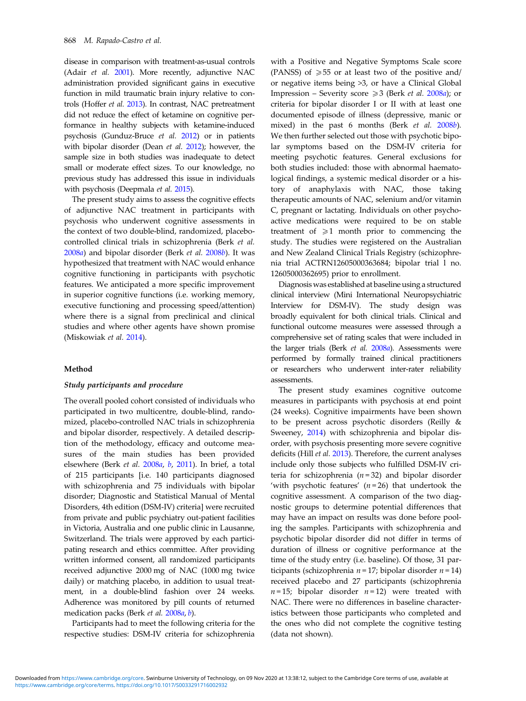disease in comparison with treatment-as-usual controls (Adair et al. [2001](#page-7-0)). More recently, adjunctive NAC administration provided significant gains in executive function in mild traumatic brain injury relative to controls (Hoffer et al. [2013](#page-9-0)). In contrast, NAC pretreatment did not reduce the effect of ketamine on cognitive performance in healthy subjects with ketamine-induced psychosis (Gunduz-Bruce et al. [2012](#page-8-0)) or in patients with bipolar disorder (Dean et al. [2012](#page-8-0)); however, the sample size in both studies was inadequate to detect small or moderate effect sizes. To our knowledge, no previous study has addressed this issue in individuals with psychosis (Deepmala et al. [2015](#page-8-0)).

The present study aims to assess the cognitive effects of adjunctive NAC treatment in participants with psychosis who underwent cognitive assessments in the context of two double-blind, randomized, placebocontrolled clinical trials in schizophrenia (Berk et al. [2008](#page-7-0)a) and bipolar disorder (Berk et al. [2008](#page-7-0)b). It was hypothesized that treatment with NAC would enhance cognitive functioning in participants with psychotic features. We anticipated a more specific improvement in superior cognitive functions (i.e. working memory, executive functioning and processing speed/attention) where there is a signal from preclinical and clinical studies and where other agents have shown promise (Miskowiak et al. [2014](#page-9-0)).

#### Method

## Study participants and procedure

The overall pooled cohort consisted of individuals who participated in two multicentre, double-blind, randomized, placebo-controlled NAC trials in schizophrenia and bipolar disorder, respectively. A detailed description of the methodology, efficacy and outcome measures of the main studies has been provided elsewhere (Berk et al. [2008](#page-7-0)a, [b](#page-7-0), [2011](#page-7-0)). In brief, a total of 215 participants [i.e. 140 participants diagnosed with schizophrenia and 75 individuals with bipolar disorder; Diagnostic and Statistical Manual of Mental Disorders, 4th edition (DSM-IV) criteria] were recruited from private and public psychiatry out-patient facilities in Victoria, Australia and one public clinic in Lausanne, Switzerland. The trials were approved by each participating research and ethics committee. After providing written informed consent, all randomized participants received adjunctive 2000 mg of NAC (1000 mg twice daily) or matching placebo, in addition to usual treatment, in a double-blind fashion over 24 weeks. Adherence was monitored by pill counts of returned medication packs (Berk et al. [2008](#page-7-0)a, [b](#page-7-0)).

Participants had to meet the following criteria for the respective studies: DSM-IV criteria for schizophrenia

with a Positive and Negative Symptoms Scale score (PANSS) of  $\geq 55$  or at least two of the positive and/ or negative items being >3, or have a Clinical Global Impression – Severity score  $\geq 3$  (Berk *et al.* [2008](#page-7-0)*a*); or criteria for bipolar disorder I or II with at least one documented episode of illness (depressive, manic or mixed) in the past 6 months (Berk et al. [2008](#page-7-0)b). We then further selected out those with psychotic bipolar symptoms based on the DSM-IV criteria for meeting psychotic features. General exclusions for both studies included: those with abnormal haematological findings, a systemic medical disorder or a history of anaphylaxis with NAC, those taking therapeutic amounts of NAC, selenium and/or vitamin C, pregnant or lactating. Individuals on other psychoactive medications were required to be on stable treatment of  $\geq 1$  month prior to commencing the study. The studies were registered on the Australian and New Zealand Clinical Trials Registry (schizophrenia trial ACTRN12605000363684; bipolar trial l no. 12605000362695) prior to enrollment.

Diagnosis was established at baseline using a structured clinical interview (Mini International Neuropsychiatric Interview for DSM-IV). The study design was broadly equivalent for both clinical trials. Clinical and functional outcome measures were assessed through a comprehensive set of rating scales that were included in the larger trials (Berk et al. [2008](#page-7-0)a). Assessments were performed by formally trained clinical practitioners or researchers who underwent inter-rater reliability assessments.

The present study examines cognitive outcome measures in participants with psychosis at end point (24 weeks). Cognitive impairments have been shown to be present across psychotic disorders (Reilly & Sweeney, [2014](#page-10-0)) with schizophrenia and bipolar disorder, with psychosis presenting more severe cognitive deficits (Hill et al. [2013\)](#page-8-0). Therefore, the current analyses include only those subjects who fulfilled DSM-IV criteria for schizophrenia ( $n = 32$ ) and bipolar disorder 'with psychotic features'  $(n = 26)$  that undertook the cognitive assessment. A comparison of the two diagnostic groups to determine potential differences that may have an impact on results was done before pooling the samples. Participants with schizophrenia and psychotic bipolar disorder did not differ in terms of duration of illness or cognitive performance at the time of the study entry (i.e. baseline). Of those, 31 participants (schizophrenia  $n = 17$ ; bipolar disorder  $n = 14$ ) received placebo and 27 participants (schizophrenia  $n = 15$ ; bipolar disorder  $n = 12$ ) were treated with NAC. There were no differences in baseline characteristics between those participants who completed and the ones who did not complete the cognitive testing (data not shown).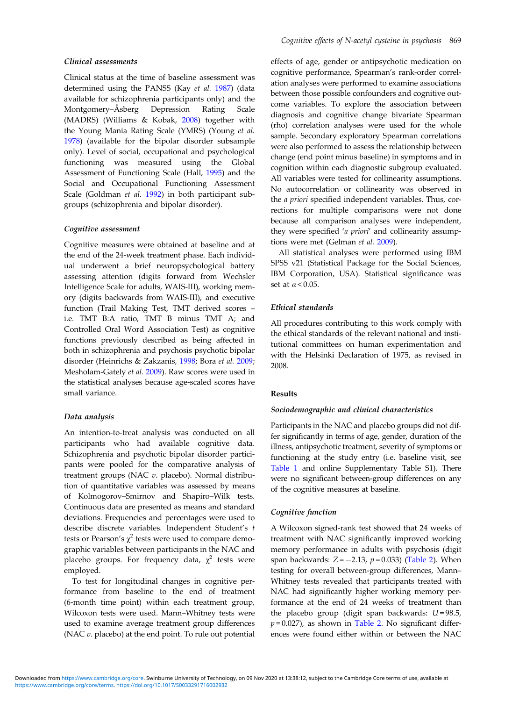# Clinical assessments

Clinical status at the time of baseline assessment was determined using the PANSS (Kay et al. [1987](#page-9-0)) (data available for schizophrenia participants only) and the Montgomery–Åsberg Depression Rating Scale (MADRS) (Williams & Kobak, [2008](#page-10-0)) together with the Young Mania Rating Scale (YMRS) (Young et al. [1978\)](#page-10-0) (available for the bipolar disorder subsample only). Level of social, occupational and psychological functioning was measured using the Global Assessment of Functioning Scale (Hall, [1995](#page-8-0)) and the Social and Occupational Functioning Assessment Scale (Goldman et al. [1992\)](#page-8-0) in both participant subgroups (schizophrenia and bipolar disorder).

# Cognitive assessment

Cognitive measures were obtained at baseline and at the end of the 24-week treatment phase. Each individual underwent a brief neuropsychological battery assessing attention (digits forward from Wechsler Intelligence Scale for adults, WAIS-III), working memory (digits backwards from WAIS-III), and executive function (Trail Making Test, TMT derived scores – i.e. TMT B:A ratio, TMT B minus TMT A; and Controlled Oral Word Association Test) as cognitive functions previously described as being affected in both in schizophrenia and psychosis psychotic bipolar disorder (Heinrichs & Zakzanis, [1998](#page-8-0); Bora et al. [2009](#page-8-0); Mesholam-Gately et al. [2009](#page-9-0)). Raw scores were used in the statistical analyses because age-scaled scores have small variance.

#### Data analysis

An intention-to-treat analysis was conducted on all participants who had available cognitive data. Schizophrenia and psychotic bipolar disorder participants were pooled for the comparative analysis of treatment groups (NAC v. placebo). Normal distribution of quantitative variables was assessed by means of Kolmogorov–Smirnov and Shapiro–Wilk tests. Continuous data are presented as means and standard deviations. Frequencies and percentages were used to describe discrete variables. Independent Student's t tests or Pearson's  $\chi^2$  tests were used to compare demographic variables between participants in the NAC and placebo groups. For frequency data,  $\chi^2$  tests were employed.

To test for longitudinal changes in cognitive performance from baseline to the end of treatment (6-month time point) within each treatment group, Wilcoxon tests were used. Mann–Whitney tests were used to examine average treatment group differences (NAC  $v$ . placebo) at the end point. To rule out potential effects of age, gender or antipsychotic medication on cognitive performance, Spearman's rank-order correlation analyses were performed to examine associations between those possible confounders and cognitive outcome variables. To explore the association between diagnosis and cognitive change bivariate Spearman (rho) correlation analyses were used for the whole sample. Secondary exploratory Spearman correlations were also performed to assess the relationship between change (end point minus baseline) in symptoms and in cognition within each diagnostic subgroup evaluated. All variables were tested for collinearity assumptions. No autocorrelation or collinearity was observed in the a priori specified independent variables. Thus, corrections for multiple comparisons were not done because all comparison analyses were independent, they were specified 'a priori' and collinearity assumptions were met (Gelman et al. [2009](#page-8-0)).

All statistical analyses were performed using IBM SPSS v21 (Statistical Package for the Social Sciences, IBM Corporation, USA). Statistical significance was set at  $\alpha$  < 0.05.

# Ethical standards

All procedures contributing to this work comply with the ethical standards of the relevant national and institutional committees on human experimentation and with the Helsinki Declaration of 1975, as revised in 2008.

# Results

## Sociodemographic and clinical characteristics

Participants in the NAC and placebo groups did not differ significantly in terms of age, gender, duration of the illness, antipsychotic treatment, severity of symptoms or functioning at the study entry (i.e. baseline visit, see [Table 1](#page-4-0) and online Supplementary Table S1). There were no significant between-group differences on any of the cognitive measures at baseline.

## Cognitive function

A Wilcoxon signed-rank test showed that 24 weeks of treatment with NAC significantly improved working memory performance in adults with psychosis (digit span backwards:  $Z = -2.13$ ,  $p = 0.033$ ) [\(Table 2\)](#page-5-0). When testing for overall between-group differences, Mann– Whitney tests revealed that participants treated with NAC had significantly higher working memory performance at the end of 24 weeks of treatment than the placebo group (digit span backwards:  $U = 98.5$ ,  $p = 0.027$ ), as shown in [Table 2.](#page-5-0) No significant differences were found either within or between the NAC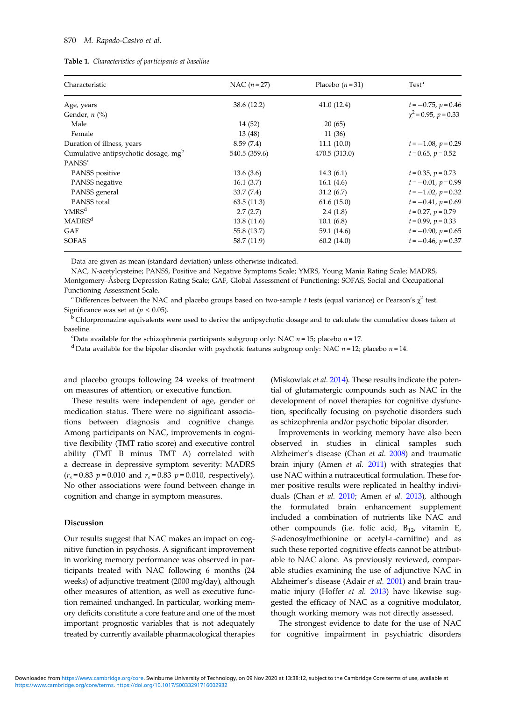#### <span id="page-4-0"></span>870 M. Rapado-Castro et al.

| <b>Table 1.</b> Characteristics of participants at baseline |  |  |
|-------------------------------------------------------------|--|--|
|-------------------------------------------------------------|--|--|

| Characteristic                                   | NAC $(n=27)$  | Placebo $(n=31)$ | Test <sup>a</sup>         |  |
|--------------------------------------------------|---------------|------------------|---------------------------|--|
| Age, years                                       | 38.6 (12.2)   | 41.0(12.4)       | $t = -0.75$ , $p = 0.46$  |  |
| Gender, $n$ $\left(\% \right)$                   |               |                  | $\chi^2$ = 0.95, p = 0.33 |  |
| Male                                             | 14 (52)       | 20(65)           |                           |  |
| Female                                           | 13(48)        | 11 (36)          |                           |  |
| Duration of illness, years                       | 8.59(7.4)     | 11.1(10.0)       | $t = -1.08$ , $p = 0.29$  |  |
| Cumulative antipsychotic dosage, mg <sup>b</sup> | 540.5 (359.6) | 470.5 (313.0)    | $t = 0.65$ , $p = 0.52$   |  |
| PANSS <sup>c</sup>                               |               |                  |                           |  |
| PANSS positive                                   | 13.6(3.6)     | 14.3(6.1)        | $t = 0.35$ , $p = 0.73$   |  |
| PANSS negative                                   | 16.1(3.7)     | 16.1(4.6)        | $t = -0.01$ , $p = 0.99$  |  |
| PANSS general                                    | 33.7(7.4)     | 31.2(6.7)        | $t = -1.02$ , $p = 0.32$  |  |
| PANSS total                                      | 63.5(11.3)    | 61.6(15.0)       | $t = -0.41$ , $p = 0.69$  |  |
| YMRS <sup>d</sup>                                | 2.7(2.7)      | 2.4(1.8)         | $t = 0.27$ , $p = 0.79$   |  |
| <b>MADRS</b> <sup>d</sup>                        | 13.8(11.6)    | 10.1(6.8)        | $t = 0.99$ , $p = 0.33$   |  |
| <b>GAF</b>                                       | 55.8 (13.7)   | 59.1 (14.6)      | $t = -0.90$ , $p = 0.65$  |  |
| <b>SOFAS</b>                                     | 58.7 (11.9)   | 60.2(14.0)       | $t = -0.46$ , $p = 0.37$  |  |

Data are given as mean (standard deviation) unless otherwise indicated.

NAC, N-acetylcysteine; PANSS, Positive and Negative Symptoms Scale; YMRS, Young Mania Rating Scale; MADRS, Montgomery–Åsberg Depression Rating Scale; GAF, Global Assessment of Functioning; SOFAS, Social and Occupational Functioning Assessment Scale.

<sup>a</sup> Differences between the NAC and placebo groups based on two-sample t tests (equal variance) or Pearson's  $\chi^2$  test. Significance was set at ( $p < 0.05$ ).

<sup>b</sup> Chlorpromazine equivalents were used to derive the antipsychotic dosage and to calculate the cumulative doses taken at baseline.

"Data available for the schizophrenia participants subgroup only: NAC  $n = 15$ ; placebo  $n = 17$ .

<sup>d</sup> Data available for the bipolar disorder with psychotic features subgroup only: NAC  $n = 12$ ; placebo  $n = 14$ .

and placebo groups following 24 weeks of treatment on measures of attention, or executive function.

These results were independent of age, gender or medication status. There were no significant associations between diagnosis and cognitive change. Among participants on NAC, improvements in cognitive flexibility (TMT ratio score) and executive control ability (TMT B minus TMT A) correlated with a decrease in depressive symptom severity: MADRS  $(r_s = 0.83 \, p = 0.010 \text{ and } r_s = 0.83 \, p = 0.010, \text{ respectively}).$ No other associations were found between change in cognition and change in symptom measures.

#### Discussion

Our results suggest that NAC makes an impact on cognitive function in psychosis. A significant improvement in working memory performance was observed in participants treated with NAC following 6 months (24 weeks) of adjunctive treatment (2000 mg/day), although other measures of attention, as well as executive function remained unchanged. In particular, working memory deficits constitute a core feature and one of the most important prognostic variables that is not adequately treated by currently available pharmacological therapies (Miskowiak et al. [2014](#page-9-0)). These results indicate the potential of glutamatergic compounds such as NAC in the development of novel therapies for cognitive dysfunction, specifically focusing on psychotic disorders such as schizophrenia and/or psychotic bipolar disorder.

Improvements in working memory have also been observed in studies in clinical samples such Alzheimer's disease (Chan et al. [2008](#page-8-0)) and traumatic brain injury (Amen et al. [2011\)](#page-7-0) with strategies that use NAC within a nutraceutical formulation. These former positive results were replicated in healthy individuals (Chan et al. [2010;](#page-8-0) Amen et al. [2013\)](#page-7-0), although the formulated brain enhancement supplement included a combination of nutrients like NAC and other compounds (i.e. folic acid,  $B_{12}$ , vitamin E, S-adenosylmethionine or acetyl-L-carnitine) and as such these reported cognitive effects cannot be attributable to NAC alone. As previously reviewed, comparable studies examining the use of adjunctive NAC in Alzheimer's disease (Adair et al. [2001](#page-7-0)) and brain trau-matic injury (Hoffer et al. [2013](#page-9-0)) have likewise suggested the efficacy of NAC as a cognitive modulator, though working memory was not directly assessed.

The strongest evidence to date for the use of NAC for cognitive impairment in psychiatric disorders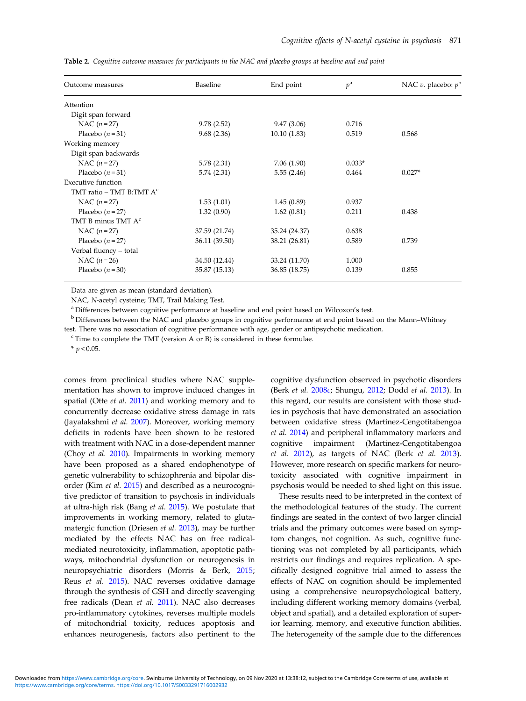| Outcome measures               | Baseline      | End point     | $p^{\rm a}$ | NAC v. placebo: $p^b$ |
|--------------------------------|---------------|---------------|-------------|-----------------------|
| Attention                      |               |               |             |                       |
| Digit span forward             |               |               |             |                       |
| NAC $(n=27)$                   | 9.78(2.52)    | 9.47(3.06)    | 0.716       |                       |
| Placebo $(n=31)$               | 9.68(2.36)    | 10.10(1.83)   | 0.519       | 0.568                 |
| Working memory                 |               |               |             |                       |
| Digit span backwards           |               |               |             |                       |
| NAC $(n=27)$                   | 5.78(2.31)    | 7.06(1.90)    | $0.033*$    |                       |
| Placebo $(n=31)$               | 5.74(2.31)    | 5.55(2.46)    | 0.464       | $0.027*$              |
| <b>Executive function</b>      |               |               |             |                       |
| TMT ratio – TMT B:TMT $Ac$     |               |               |             |                       |
| NAC $(n=27)$                   | 1.53(1.01)    | 1.45(0.89)    | 0.937       |                       |
| Placebo $(n=27)$               | 1.32(0.90)    | 1.62(0.81)    | 0.211       | 0.438                 |
| TMT B minus TMT A <sup>c</sup> |               |               |             |                       |
| NAC $(n=27)$                   | 37.59 (21.74) | 35.24 (24.37) | 0.638       |                       |
| Placebo $(n=27)$               | 36.11 (39.50) | 38.21 (26.81) | 0.589       | 0.739                 |
| Verbal fluency - total         |               |               |             |                       |
| NAC $(n=26)$                   | 34.50 (12.44) | 33.24 (11.70) | 1.000       |                       |
| Placebo $(n=30)$               | 35.87 (15.13) | 36.85 (18.75) | 0.139       | 0.855                 |

<span id="page-5-0"></span>Table 2. Cognitive outcome measures for participants in the NAC and placebo groups at baseline and end point

Data are given as mean (standard deviation).

NAC, N-acetyl cysteine; TMT, Trail Making Test.

<sup>a</sup> Differences between cognitive performance at baseline and end point based on Wilcoxon's test.

<sup>b</sup> Differences between the NAC and placebo groups in cognitive performance at end point based on the Mann–Whitney test. There was no association of cognitive performance with age, gender or antipsychotic medication.

<sup>c</sup> Time to complete the TMT (version A or B) is considered in these formulae.

 $*$   $p < 0.05$ .

comes from preclinical studies where NAC supplementation has shown to improve induced changes in spatial (Otte et al. [2011\)](#page-10-0) and working memory and to concurrently decrease oxidative stress damage in rats (Jayalakshmi et al. [2007](#page-9-0)). Moreover, working memory deficits in rodents have been shown to be restored with treatment with NAC in a dose-dependent manner (Choy et al. [2010](#page-8-0)). Impairments in working memory have been proposed as a shared endophenotype of genetic vulnerability to schizophrenia and bipolar disorder (Kim et al. [2015](#page-9-0)) and described as a neurocognitive predictor of transition to psychosis in individuals at ultra-high risk (Bang et al. [2015](#page-7-0)). We postulate that improvements in working memory, related to glutamatergic function (Driesen et al. [2013\)](#page-8-0), may be further mediated by the effects NAC has on free radicalmediated neurotoxicity, inflammation, apoptotic pathways, mitochondrial dysfunction or neurogenesis in neuropsychiatric disorders (Morris & Berk, [2015](#page-9-0); Reus et al. [2015](#page-10-0)). NAC reverses oxidative damage through the synthesis of GSH and directly scavenging free radicals (Dean et al. [2011\)](#page-8-0). NAC also decreases pro-inflammatory cytokines, reverses multiple models of mitochondrial toxicity, reduces apoptosis and enhances neurogenesis, factors also pertinent to the

cognitive dysfunction observed in psychotic disorders (Berk et al. [2008](#page-7-0)c; Shungu, [2012](#page-10-0); Dodd et al. [2013\)](#page-8-0). In this regard, our results are consistent with those studies in psychosis that have demonstrated an association between oxidative stress (Martinez-Cengotitabengoa et al. [2014](#page-9-0)) and peripheral inflammatory markers and cognitive impairment (Martinez-Cengotitabengoa et al. [2012\)](#page-9-0), as targets of NAC (Berk et al. [2013](#page-7-0)). However, more research on specific markers for neurotoxicity associated with cognitive impairment in psychosis would be needed to shed light on this issue.

These results need to be interpreted in the context of the methodological features of the study. The current findings are seated in the context of two larger clincial trials and the primary outcomes were based on symptom changes, not cognition. As such, cognitive functioning was not completed by all participants, which restricts our findings and requires replication. A specifically designed cognitive trial aimed to assess the effects of NAC on cognition should be implemented using a comprehensive neuropsychological battery, including different working memory domains (verbal, object and spatial), and a detailed exploration of superior learning, memory, and executive function abilities. The heterogeneity of the sample due to the differences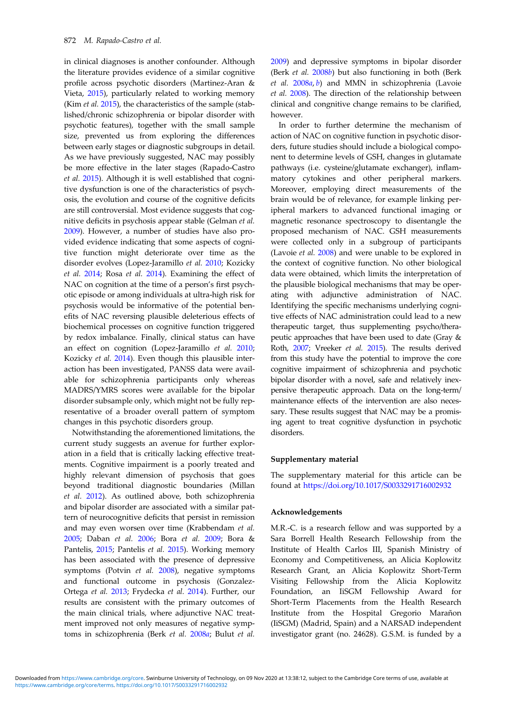in clinical diagnoses is another confounder. Although the literature provides evidence of a similar cognitive profile across psychotic disorders (Martinez-Aran & Vieta, [2015](#page-9-0)), particularly related to working memory (Kim *et al.* [2015](#page-9-0)), the characteristics of the sample (stablished/chronic schizophrenia or bipolar disorder with psychotic features), together with the small sample size, prevented us from exploring the differences between early stages or diagnostic subgroups in detail. As we have previously suggested, NAC may possibly be more effective in the later stages (Rapado-Castro et al. [2015\)](#page-10-0). Although it is well established that cognitive dysfunction is one of the characteristics of psychosis, the evolution and course of the cognitive deficits are still controversial. Most evidence suggests that cognitive deficits in psychosis appear stable (Gelman et al. [2009\)](#page-8-0). However, a number of studies have also provided evidence indicating that some aspects of cognitive function might deteriorate over time as the disorder evolves (Lopez-Jaramillo et al. [2010;](#page-9-0) Kozicky et al. [2014;](#page-9-0) Rosa et al. [2014\)](#page-10-0). Examining the effect of NAC on cognition at the time of a person's first psychotic episode or among individuals at ultra-high risk for psychosis would be informative of the potential benefits of NAC reversing plausible deleterious effects of biochemical processes on cognitive function triggered by redox imbalance. Finally, clinical status can have an effect on cognition (Lopez-Jaramillo et al. [2010](#page-9-0); Kozicky et al. [2014\)](#page-9-0). Even though this plausible interaction has been investigated, PANSS data were available for schizophrenia participants only whereas MADRS/YMRS scores were available for the bipolar disorder subsample only, which might not be fully representative of a broader overall pattern of symptom changes in this psychotic disorders group.

Notwithstanding the aforementioned limitations, the current study suggests an avenue for further exploration in a field that is critically lacking effective treatments. Cognitive impairment is a poorly treated and highly relevant dimension of psychosis that goes beyond traditional diagnostic boundaries (Millan et al. [2012\)](#page-9-0). As outlined above, both schizophrenia and bipolar disorder are associated with a similar pattern of neurocognitive deficits that persist in remission and may even worsen over time (Krabbendam et al. [2005;](#page-9-0) Daban et al. [2006](#page-8-0); Bora et al. [2009](#page-8-0); Bora & Pantelis, [2015](#page-7-0); Pantelis et al. [2015](#page-10-0)). Working memory has been associated with the presence of depressive symptoms (Potvin et al. [2008\)](#page-10-0), negative symptoms and functional outcome in psychosis (Gonzalez-Ortega et al. [2013;](#page-8-0) Frydecka et al. [2014\)](#page-8-0). Further, our results are consistent with the primary outcomes of the main clinical trials, where adjunctive NAC treatment improved not only measures of negative symptoms in schizophrenia (Berk et al. [2008](#page-7-0)a; Bulut et al.

[2009\)](#page-8-0) and depressive symptoms in bipolar disorder (Berk et al. [2008](#page-7-0)b) but also functioning in both (Berk et al. [2008](#page-7-0)a, [b](#page-7-0)) and MMN in schizophrenia (Lavoie et al. [2008\)](#page-9-0). The direction of the relationship between clinical and congnitive change remains to be clarified, however.

In order to further determine the mechanism of action of NAC on cognitive function in psychotic disorders, future studies should include a biological component to determine levels of GSH, changes in glutamate pathways (i.e. cysteine/glutamate exchanger), inflammatory cytokines and other peripheral markers. Moreover, employing direct measurements of the brain would be of relevance, for example linking peripheral markers to advanced functional imaging or magnetic resonance spectroscopy to disentangle the proposed mechanism of NAC. GSH measurements were collected only in a subgroup of participants (Lavoie et al. [2008](#page-9-0)) and were unable to be explored in the context of cognitive function. No other biological data were obtained, which limits the interpretation of the plausible biological mechanisms that may be operating with adjunctive administration of NAC. Identifying the specific mechanisms underlying cognitive effects of NAC administration could lead to a new therapeutic target, thus supplementing psycho/therapeutic approaches that have been used to date (Gray & Roth, [2007;](#page-8-0) Vreeker et al. [2015\)](#page-10-0). The results derived from this study have the potential to improve the core cognitive impairment of schizophrenia and psychotic bipolar disorder with a novel, safe and relatively inexpensive therapeutic approach. Data on the long-term/ maintenance effects of the intervention are also necessary. These results suggest that NAC may be a promising agent to treat cognitive dysfunction in psychotic disorders.

#### Supplementary material

The supplementary material for this article can be found at <https://doi.org/10.1017/S0033291716002932>

## Acknowledgements

M.R.-C. is a research fellow and was supported by a Sara Borrell Health Research Fellowship from the Institute of Health Carlos III, Spanish Ministry of Economy and Competitiveness, an Alicia Koplowitz Research Grant, an Alicia Koplowitz Short-Term Visiting Fellowship from the Alicia Koplowitz Foundation, an IiSGM Fellowship Award for Short-Term Placements from the Health Research Institute from the Hospital Gregorio Marañon (IiSGM) (Madrid, Spain) and a NARSAD independent investigator grant (no. 24628). G.S.M. is funded by a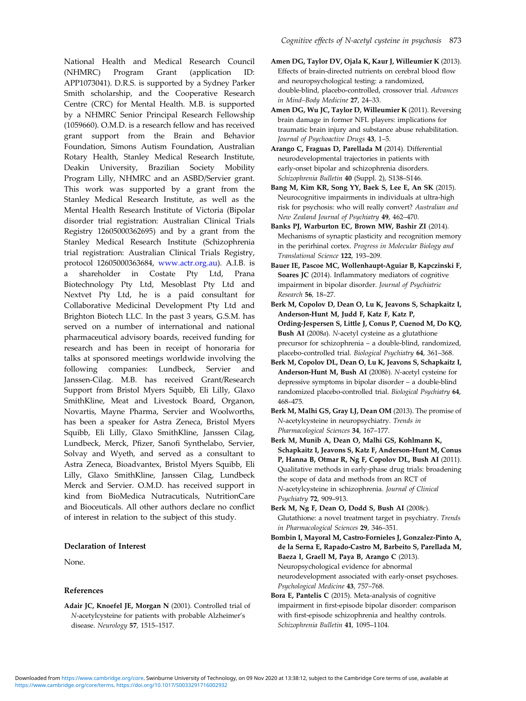<span id="page-7-0"></span>National Health and Medical Research Council (NHMRC) Program Grant (application ID: APP1073041). D.R.S. is supported by a Sydney Parker Smith scholarship, and the Cooperative Research Centre (CRC) for Mental Health. M.B. is supported by a NHMRC Senior Principal Research Fellowship (1059660). O.M.D. is a research fellow and has received grant support from the Brain and Behavior Foundation, Simons Autism Foundation, Australian Rotary Health, Stanley Medical Research Institute, Deakin University, Brazilian Society Mobility Program Lilly, NHMRC and an ASBD/Servier grant. This work was supported by a grant from the Stanley Medical Research Institute, as well as the Mental Health Research Institute of Victoria (Bipolar disorder trial registration: Australian Clinical Trials Registry 12605000362695) and by a grant from the Stanley Medical Research Institute (Schizophrenia trial registration: Australian Clinical Trials Registry, protocol 12605000363684, [www.actr.org.au](http://www.actr.org.au)). A.I.B. is a shareholder in Costate Pty Ltd, Prana Biotechnology Pty Ltd, Mesoblast Pty Ltd and Nextvet Pty Ltd, he is a paid consultant for Collaborative Medicinal Development Pty Ltd and Brighton Biotech LLC. In the past 3 years, G.S.M. has served on a number of international and national pharmaceutical advisory boards, received funding for research and has been in receipt of honoraria for talks at sponsored meetings worldwide involving the following companies: Lundbeck, Servier and Janssen-Cilag. M.B. has received Grant/Research Support from Bristol Myers Squibb, Eli Lilly, Glaxo SmithKline, Meat and Livestock Board, Organon, Novartis, Mayne Pharma, Servier and Woolworths, has been a speaker for Astra Zeneca, Bristol Myers Squibb, Eli Lilly, Glaxo SmithKline, Janssen Cilag, Lundbeck, Merck, Pfizer, Sanofi Synthelabo, Servier, Solvay and Wyeth, and served as a consultant to Astra Zeneca, Bioadvantex, Bristol Myers Squibb, Eli Lilly, Glaxo SmithKline, Janssen Cilag, Lundbeck Merck and Servier. O.M.D. has received support in kind from BioMedica Nutracuticals, NutritionCare and Bioceuticals. All other authors declare no conflict

## Declaration of Interest

None.

## References

Adair JC, Knoefel JE, Morgan N (2001). Controlled trial of N-acetylcysteine for patients with probable Alzheimer's disease. Neurology 57, 1515–1517.

of interest in relation to the subject of this study.

Amen DG, Taylor DV, Ojala K, Kaur J, Willeumier K (2013). Effects of brain-directed nutrients on cerebral blood flow and neuropsychological testing: a randomized, double-blind, placebo-controlled, crossover trial. Advances in Mind–Body Medicine 27, 24–33.

- Amen DG, Wu JC, Taylor D, Willeumier K (2011). Reversing brain damage in former NFL players: implications for traumatic brain injury and substance abuse rehabilitation. Journal of Psychoactive Drugs 43, 1–5.
- Arango C, Fraguas D, Parellada M (2014). Differential neurodevelopmental trajectories in patients with early-onset bipolar and schizophrenia disorders. Schizophrenia Bulletin 40 (Suppl. 2), S138–S146.
- Bang M, Kim KR, Song YY, Baek S, Lee E, An SK (2015). Neurocognitive impairments in individuals at ultra-high risk for psychosis: who will really convert? Australian and New Zealand Journal of Psychiatry 49, 462–470.
- Banks PJ, Warburton EC, Brown MW, Bashir ZI (2014). Mechanisms of synaptic plasticity and recognition memory in the perirhinal cortex. Progress in Molecular Biology and Translational Science 122, 193–209.
- Bauer IE, Pascoe MC, Wollenhaupt-Aguiar B, Kapczinski F, Soares JC (2014). Inflammatory mediators of cognitive impairment in bipolar disorder. Journal of Psychiatric Research 56, 18–27.
- Berk M, Copolov D, Dean O, Lu K, Jeavons S, Schapkaitz I, Anderson-Hunt M, Judd F, Katz F, Katz P, Ording-Jespersen S, Little J, Conus P, Cuenod M, Do KQ, Bush AI (2008a). N-acetyl cysteine as a glutathione precursor for schizophrenia – a double-blind, randomized, placebo-controlled trial. Biological Psychiatry 64, 361–368.
- Berk M, Copolov DL, Dean O, Lu K, Jeavons S, Schapkaitz I, Anderson-Hunt M, Bush AI (2008b). N-acetyl cysteine for depressive symptoms in bipolar disorder – a double-blind randomized placebo-controlled trial. Biological Psychiatry 64, 468–475.
- Berk M, Malhi GS, Gray LJ, Dean OM (2013). The promise of N-acetylcysteine in neuropsychiatry. Trends in Pharmacological Sciences 34, 167–177.
- Berk M, Munib A, Dean O, Malhi GS, Kohlmann K, Schapkaitz I, Jeavons S, Katz F, Anderson-Hunt M, Conus P, Hanna B, Otmar R, Ng F, Copolov DL, Bush AI (2011). Qualitative methods in early-phase drug trials: broadening the scope of data and methods from an RCT of N-acetylcysteine in schizophrenia. Journal of Clinical Psychiatry 72, 909–913.
- Berk M, Ng F, Dean O, Dodd S, Bush AI (2008c). Glutathione: a novel treatment target in psychiatry. Trends in Pharmacological Sciences 29, 346–351.
- Bombin I, Mayoral M, Castro-Fornieles J, Gonzalez-Pinto A, de la Serna E, Rapado-Castro M, Barbeito S, Parellada M, Baeza I, Graell M, Paya B, Arango C (2013). Neuropsychological evidence for abnormal neurodevelopment associated with early-onset psychoses. Psychological Medicine 43, 757–768.
- Bora E, Pantelis C (2015). Meta-analysis of cognitive impairment in first-episode bipolar disorder: comparison with first-episode schizophrenia and healthy controls. Schizophrenia Bulletin 41, 1095–1104.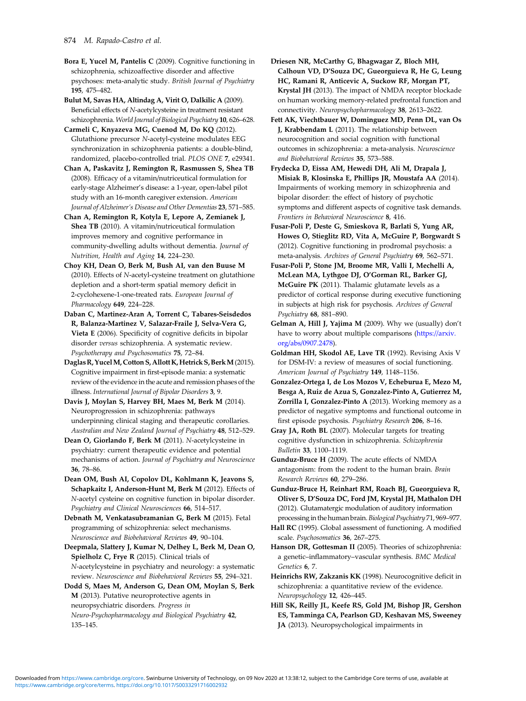<span id="page-8-0"></span>Bora E, Yucel M, Pantelis C (2009). Cognitive functioning in schizophrenia, schizoaffective disorder and affective psychoses: meta-analytic study. British Journal of Psychiatry 195, 475–482.

Bulut M, Savas HA, Altindag A, Virit O, Dalkilic A (2009). Beneficial effects of N-acetylcysteine in treatment resistant schizophrenia.World Journal of Biological Psychiatry 10, 626–628.

Carmeli C, Knyazeva MG, Cuenod M, Do KQ (2012). Glutathione precursor N-acetyl-cysteine modulates EEG synchronization in schizophrenia patients: a double-blind, randomized, placebo-controlled trial. PLOS ONE 7, e29341.

Chan A, Paskavitz J, Remington R, Rasmussen S, Shea TB (2008). Efficacy of a vitamin/nutriceutical formulation for early-stage Alzheimer's disease: a 1-year, open-label pilot study with an 16-month caregiver extension. American Journal of Alzheimer's Disease and Other Dementias 23, 571–585.

Chan A, Remington R, Kotyla E, Lepore A, Zemianek J, Shea TB (2010). A vitamin/nutriceutical formulation improves memory and cognitive performance in community-dwelling adults without dementia. Journal of Nutrition, Health and Aging 14, 224–230.

Choy KH, Dean O, Berk M, Bush AI, van den Buuse M (2010). Effects of N-acetyl-cysteine treatment on glutathione depletion and a short-term spatial memory deficit in 2-cyclohexene-1-one-treated rats. European Journal of Pharmacology 649, 224-228.

Daban C, Martinez-Aran A, Torrent C, Tabares-Seisdedos R, Balanza-Martinez V, Salazar-Fraile J, Selva-Vera G, Vieta E (2006). Specificity of cognitive deficits in bipolar disorder versus schizophrenia. A systematic review. Psychotherapy and Psychosomatics 75, 72–84.

Daglas R, YucelM, Cotton S, Allott K, Hetrick S, BerkM(2015). Cognitive impairment in first-episode mania: a systematic review of the evidence in the acute and remission phases of the illness. International Journal of Bipolar Disorders 3, 9.

Davis J, Moylan S, Harvey BH, Maes M, Berk M (2014). Neuroprogression in schizophrenia: pathways underpinning clinical staging and therapeutic corollaries. Australian and New Zealand Journal of Psychiatry 48, 512–529.

Dean O, Giorlando F, Berk M (2011). N-acetylcysteine in psychiatry: current therapeutic evidence and potential mechanisms of action. Journal of Psychiatry and Neuroscience 36, 78–86.

Dean OM, Bush AI, Copolov DL, Kohlmann K, Jeavons S, Schapkaitz I, Anderson-Hunt M, Berk M (2012). Effects of N-acetyl cysteine on cognitive function in bipolar disorder. Psychiatry and Clinical Neurosciences 66, 514–517.

Debnath M, Venkatasubramanian G, Berk M (2015). Fetal programming of schizophrenia: select mechanisms. Neuroscience and Biobehavioral Reviews 49, 90–104.

Deepmala, Slattery J, Kumar N, Delhey L, Berk M, Dean O, Spielholz C, Frye R (2015). Clinical trials of N-acetylcysteine in psychiatry and neurology: a systematic review. Neuroscience and Biobehavioral Reviews 55, 294–321.

Dodd S, Maes M, Anderson G, Dean OM, Moylan S, Berk M (2013). Putative neuroprotective agents in neuropsychiatric disorders. Progress in Neuro-Psychopharmacology and Biological Psychiatry 42, 135–145.

Driesen NR, McCarthy G, Bhagwagar Z, Bloch MH, Calhoun VD, D'Souza DC, Gueorguieva R, He G, Leung HC, Ramani R, Anticevic A, Suckow RF, Morgan PT, Krystal JH (2013). The impact of NMDA receptor blockade on human working memory-related prefrontal function and connectivity. Neuropsychopharmacology 38, 2613–2622.

Fett AK, Viechtbauer W, Dominguez MD, Penn DL, van Os J, Krabbendam L (2011). The relationship between neurocognition and social cognition with functional outcomes in schizophrenia: a meta-analysis. Neuroscience and Biobehavioral Reviews 35, 573–588.

Frydecka D, Eissa AM, Hewedi DH, Ali M, Drapala J, Misiak B, Klosinska E, Phillips JR, Moustafa AA (2014). Impairments of working memory in schizophrenia and bipolar disorder: the effect of history of psychotic symptoms and different aspects of cognitive task demands. Frontiers in Behavioral Neuroscience 8, 416.

Fusar-Poli P, Deste G, Smieskova R, Barlati S, Yung AR, Howes O, Stieglitz RD, Vita A, McGuire P, Borgwardt S (2012). Cognitive functioning in prodromal psychosis: a meta-analysis. Archives of General Psychiatry 69, 562–571.

Fusar-Poli P, Stone JM, Broome MR, Valli I, Mechelli A, McLean MA, Lythgoe DJ, O'Gorman RL, Barker GJ, McGuire PK (2011). Thalamic glutamate levels as a predictor of cortical response during executive functioning in subjects at high risk for psychosis. Archives of General Psychiatry 68, 881–890.

Gelman A, Hill J, Yajima M (2009). Why we (usually) don't have to worry about multiple comparisons ([https://arxiv.](https://arxiv.org/abs/0907.2478) [org/abs/0907.2478](https://arxiv.org/abs/0907.2478)).

Goldman HH, Skodol AE, Lave TR (1992). Revising Axis V for DSM-IV: a review of measures of social functioning. American Journal of Psychiatry 149, 1148–1156.

Gonzalez-Ortega I, de Los Mozos V, Echeburua E, Mezo M, Besga A, Ruiz de Azua S, Gonzalez-Pinto A, Gutierrez M, Zorrilla I, Gonzalez-Pinto A (2013). Working memory as a predictor of negative symptoms and functional outcome in first episode psychosis. Psychiatry Research 206, 8–16.

Gray JA, Roth BL (2007). Molecular targets for treating cognitive dysfunction in schizophrenia. Schizophrenia Bulletin 33, 1100–1119.

Gunduz-Bruce H (2009). The acute effects of NMDA antagonism: from the rodent to the human brain. Brain Research Reviews 60, 279–286.

Gunduz-Bruce H, Reinhart RM, Roach BJ, Gueorguieva R, Oliver S, D'Souza DC, Ford JM, Krystal JH, Mathalon DH (2012). Glutamatergic modulation of auditory information processing in the human brain. Biological Psychiatry 71, 969-977.

Hall RC (1995). Global assessment of functioning. A modified scale. Psychosomatics 36, 267–275.

Hanson DR, Gottesman II (2005). Theories of schizophrenia: a genetic–inflammatory–vascular synthesis. BMC Medical Genetics 6, 7.

Heinrichs RW, Zakzanis KK (1998). Neurocognitive deficit in schizophrenia: a quantitative review of the evidence. Neuropsychology 12, 426–445.

Hill SK, Reilly JL, Keefe RS, Gold JM, Bishop JR, Gershon ES, Tamminga CA, Pearlson GD, Keshavan MS, Sweeney JA (2013). Neuropsychological impairments in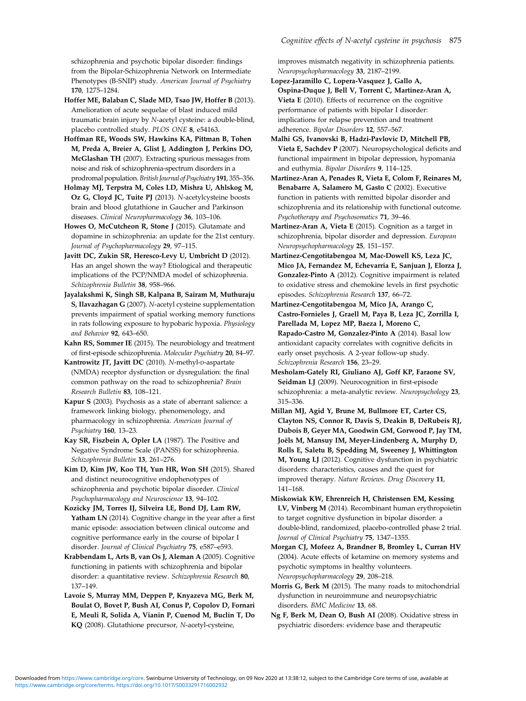<span id="page-9-0"></span>schizophrenia and psychotic bipolar disorder: findings from the Bipolar-Schizophrenia Network on Intermediate Phenotypes (B-SNIP) study. American Journal of Psychiatry 170, 1275–1284.

Hoffer ME, Balaban C, Slade MD, Tsao JW, Hoffer B (2013). Amelioration of acute sequelae of blast induced mild traumatic brain injury by N-acetyl cysteine: a double-blind, placebo controlled study. PLOS ONE 8, e54163.

Hoffman RE, Woods SW, Hawkins KA, Pittman B, Tohen M, Preda A, Breier A, Glist J, Addington J, Perkins DO, McGlashan TH (2007). Extracting spurious messages from noise and risk of schizophrenia-spectrum disorders in a prodromal population.British Journal of Psychiatry 191, 355–356.

Holmay MJ, Terpstra M, Coles LD, Mishra U, Ahlskog M, Oz G, Cloyd JC, Tuite PJ (2013). N-acetylcysteine boosts brain and blood glutathione in Gaucher and Parkinson diseases. Clinical Neuropharmacology 36, 103–106.

Howes O, McCutcheon R, Stone J (2015). Glutamate and dopamine in schizophrenia: an update for the 21st century. Journal of Psychopharmacology 29, 97–115.

Javitt DC, Zukin SR, Heresco-Levy U, Umbricht D (2012). Has an angel shown the way? Etiological and therapeutic implications of the PCP/NMDA model of schizophrenia. Schizophrenia Bulletin 38, 958–966.

Jayalakshmi K, Singh SB, Kalpana B, Sairam M, Muthuraju S, Ilavazhagan G (2007). N-acetyl cysteine supplementation prevents impairment of spatial working memory functions in rats following exposure to hypobaric hypoxia. Physiology and Behavior 92, 643–650.

Kahn RS, Sommer IE (2015). The neurobiology and treatment of first-episode schizophrenia. Molecular Psychiatry 20, 84–97.

Kantrowitz JT, Javitt DC (2010). N-methyl-D-aspartate (NMDA) receptor dysfunction or dysregulation: the final common pathway on the road to schizophrenia? Brain Research Bulletin 83, 108–121.

Kapur S (2003). Psychosis as a state of aberrant salience: a framework linking biology, phenomenology, and pharmacology in schizophrenia. American Journal of Psychiatry 160, 13–23.

Kay SR, Fiszbein A, Opler LA (1987). The Positive and Negative Syndrome Scale (PANSS) for schizophrenia. Schizophrenia Bulletin 13, 261–276.

Kim D, Kim JW, Koo TH, Yun HR, Won SH (2015). Shared and distinct neurocognitive endophenotypes of schizophrenia and psychotic bipolar disorder. Clinical Psychopharmacology and Neuroscience 13, 94–102.

Kozicky JM, Torres IJ, Silveira LE, Bond DJ, Lam RW, Yatham LN (2014). Cognitive change in the year after a first manic episode: association between clinical outcome and cognitive performance early in the course of bipolar I disorder. Journal of Clinical Psychiatry 75, e587–e593.

Krabbendam L, Arts B, van Os J, Aleman A (2005). Cognitive functioning in patients with schizophrenia and bipolar disorder: a quantitative review. Schizophrenia Research 80, 137–149.

Lavoie S, Murray MM, Deppen P, Knyazeva MG, Berk M, Boulat O, Bovet P, Bush AI, Conus P, Copolov D, Fornari E, Meuli R, Solida A, Vianin P, Cuenod M, Buclin T, Do KQ (2008). Glutathione precursor, N-acetyl-cysteine,

improves mismatch negativity in schizophrenia patients. Neuropsychopharmacology 33, 2187–2199.

Lopez-Jaramillo C, Lopera-Vasquez J, Gallo A, Ospina-Duque J, Bell V, Torrent C, Martinez-Aran A, Vieta E (2010). Effects of recurrence on the cognitive performance of patients with bipolar I disorder: implications for relapse prevention and treatment adherence. Bipolar Disorders 12, 557–567.

Malhi GS, Ivanovski B, Hadzi-Pavlovic D, Mitchell PB, Vieta E, Sachdev P (2007). Neuropsychological deficits and functional impairment in bipolar depression, hypomania and euthymia. Bipolar Disorders 9, 114–125.

Martinez-Aran A, Penades R, Vieta E, Colom F, Reinares M, Benabarre A, Salamero M, Gasto C (2002). Executive function in patients with remitted bipolar disorder and schizophrenia and its relationship with functional outcome. Psychotherapy and Psychosomatics 71, 39–46.

Martinez-Aran A, Vieta E (2015). Cognition as a target in schizophrenia, bipolar disorder and depression. European Neuropsychopharmacology 25, 151–157.

Martinez-Cengotitabengoa M, Mac-Dowell KS, Leza JC, Mico JA, Fernandez M, Echevarria E, Sanjuan J, Elorza J, Gonzalez-Pinto A (2012). Cognitive impairment is related to oxidative stress and chemokine levels in first psychotic episodes. Schizophrenia Research 137, 66–72.

Martinez-Cengotitabengoa M, Mico JA, Arango C, Castro-Fornieles J, Graell M, Paya B, Leza JC, Zorrilla I, Parellada M, Lopez MP, Baeza I, Moreno C, Rapado-Castro M, Gonzalez-Pinto A (2014). Basal low antioxidant capacity correlates with cognitive deficits in early onset psychosis. A 2-year follow-up study. Schizophrenia Research 156, 23–29.

Mesholam-Gately RI, Giuliano AJ, Goff KP, Faraone SV, Seidman LJ (2009). Neurocognition in first-episode schizophrenia: a meta-analytic review. Neuropsychology 23, 315–336.

Millan MJ, Agid Y, Brune M, Bullmore ET, Carter CS, Clayton NS, Connor R, Davis S, Deakin B, DeRubeis RJ, Dubois B, Geyer MA, Goodwin GM, Gorwood P, Jay TM, Joëls M, Mansuy IM, Meyer-Lindenberg A, Murphy D, Rolls E, Saletu B, Spedding M, Sweeney J, Whittington M, Young LJ (2012). Cognitive dysfunction in psychiatric disorders: characteristics, causes and the quest for improved therapy. Nature Reviews. Drug Discovery 11, 141–168.

Miskowiak KW, Ehrenreich H, Christensen EM, Kessing LV, Vinberg M (2014). Recombinant human erythropoietin to target cognitive dysfunction in bipolar disorder: a double-blind, randomized, placebo-controlled phase 2 trial. Journal of Clinical Psychiatry 75, 1347–1355.

Morgan CJ, Mofeez A, Brandner B, Bromley L, Curran HV (2004). Acute effects of ketamine on memory systems and psychotic symptoms in healthy volunteers. Neuropsychopharmacology 29, 208–218.

Morris G, Berk M (2015). The many roads to mitochondrial dysfunction in neuroimmune and neuropsychiatric disorders. BMC Medicine 13, 68.

Ng F, Berk M, Dean O, Bush AI (2008). Oxidative stress in psychiatric disorders: evidence base and therapeutic

[https://www.cambridge.org/core/terms.](https://www.cambridge.org/core/terms) <https://doi.org/10.1017/S0033291716002932> Downloaded from [https://www.cambridge.org/core.](https://www.cambridge.org/core) Swinburne University of Technology, on 09 Nov 2020 at 13:38:12, subject to the Cambridge Core terms of use, available at